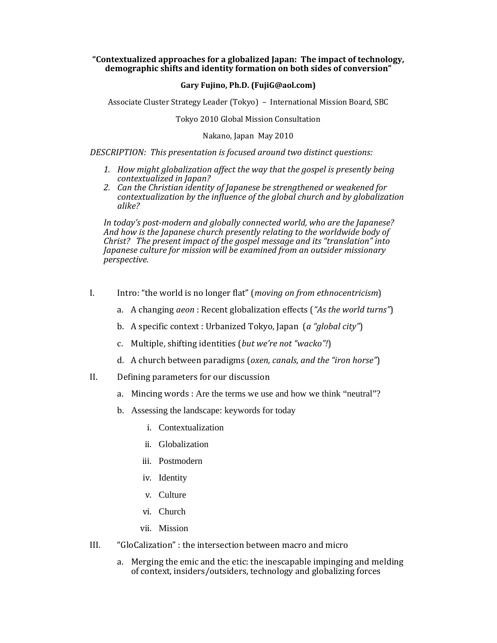## **"Contextualized approaches for a globalized Japan: The impact of technology, demographic shifts and identity formation on both sides of conversion"**

## **Gary Fujino, Ph.D. (FujiG@aol.com)**

Associate Cluster Strategy Leader (Tokyo) – International Mission Board, SBC

Tokyo 2010 Global Mission Consultation

Nakano, Japan May 2010

*DESCRIPTION: This presentation is focused around two distinct questions:* 

- *1. How might globalization affect the way that the gospel is presently being*
- *contextualized in Japan? 2. Can the Christian identity of Japanese be strengthened or weakened for contextualization by the influence of the global church and by globalization alike?*

In today's post-modern and globally connected world, who are the Japanese?<br>And how is the Japanese church presently relating to the worldwide body of *Christ? The present impact of the gospel message and its "translation" into Japanese culture for mission will be examined from an outsider missionary*  $perspective.$ 

- I. Intro: "the world is no longer flat" (*moving on from ethnocentricism*)
	- a. A changing *aeon* : Recent globalization effects (*"As the world turns"*)
	- b. A specific context : Urbanized Tokyo, Japan (*a "global city"*)
	- c. Multiple, shifting identities (*but we're not "wacko"!*)
	- d. A church between paradigms (*oxen, canals, and the "iron horse"*)
- II. Defining parameters for our discussion
	- a. Mincing words : Are the terms we use and how we think "neutral"?
	- b. Assessing the landscape: keywords for today
		- i. Contextualization
		- ii. Globalization
		- iii. Postmodern
		- iv. Identity
		- v. Culture
		- vi. Church
		- vii. Mission
- III. "GloCalization" : the intersection between macro and micro
	- a. Merging the emic and the etic: the inescapable impinging and melding of context, insiders/outsiders, technology and globalizing forces